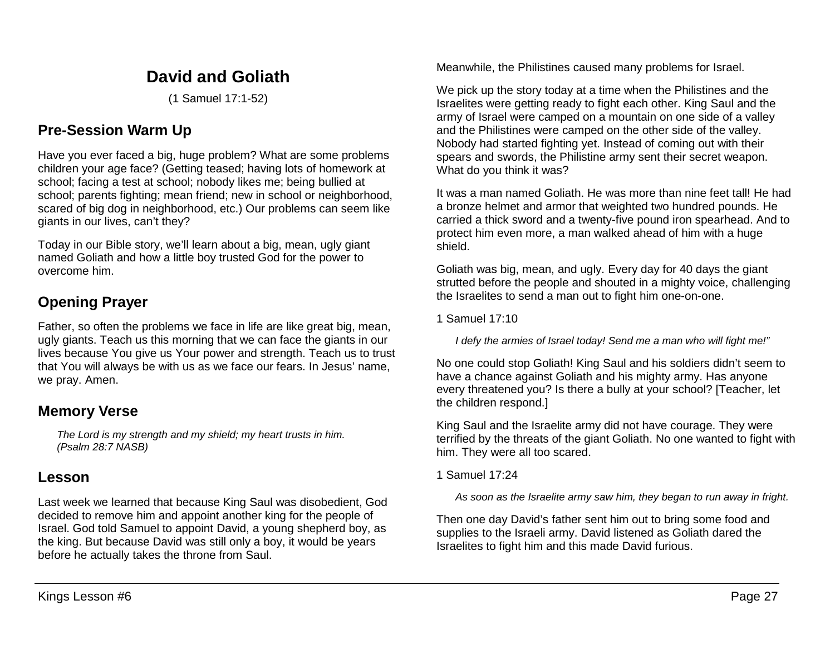# **David and Goliath**

(1 Samuel 17:1-52)

# **Pre-Session Warm Up**

Have you ever faced a big, huge problem? What are some problems children your age face? (Getting teased; having lots of homework at school; facing a test at school; nobody likes me; being bullied at school; parents fighting; mean friend; new in school or neighborhood, scared of big dog in neighborhood, etc.) Our problems can seem like giants in our lives, can't they?

Today in our Bible story, we'll learn about a big, mean, ugly giant named Goliath and how a little boy trusted God for the power to overcome him.

## **Opening Prayer**

Father, so often the problems we face in life are like great big, mean, ugly giants. Teach us this morning that we can face the giants in our lives because You give us Your power and strength. Teach us to trust that You will always be with us as we face our fears. In Jesus' name, we pray. Amen.

## **Memory Verse**

*The Lord is my strength and my shield; my heart trusts in him. (Psalm 28:7 NASB)*

## **Lesson**

Last week we learned that because King Saul was disobedient, God decided to remove him and appoint another king for the people of Israel. God told Samuel to appoint David, a young shepherd boy, as the king. But because David was still only a boy, it would be years before he actually takes the throne from Saul.

Meanwhile, the Philistines caused many problems for Israel.

We pick up the story today at a time when the Philistines and the Israelites were getting ready to fight each other. King Saul and the army of Israel were camped on a mountain on one side of a valley and the Philistines were camped on the other side of the valley. Nobody had started fighting yet. Instead of coming out with their spears and swords, the Philistine army sent their secret weapon. What do you think it was?

It was a man named Goliath. He was more than nine feet tall! He had a bronze helmet and armor that weighted two hundred pounds. He carried a thick sword and a twenty-five pound iron spearhead. And to protect him even more, a man walked ahead of him with a huge shield.

Goliath was big, mean, and ugly. Every day for 40 days the giant strutted before the people and shouted in a mighty voice, challenging the Israelites to send a man out to fight him one-on-one.

1 Samuel 17:10

*I defy the armies of Israel today! Send me a man who will fight me!"*

No one could stop Goliath! King Saul and his soldiers didn't seem to have a chance against Goliath and his mighty army. Has anyone every threatened you? Is there a bully at your school? [Teacher, let the children respond.]

King Saul and the Israelite army did not have courage. They were terrified by the threats of the giant Goliath. No one wanted to fight with him. They were all too scared.

1 Samuel 17:24

*As soon as the Israelite army saw him, they began to run away in fright.*

Then one day David's father sent him out to bring some food and supplies to the Israeli army. David listened as Goliath dared the Israelites to fight him and this made David furious.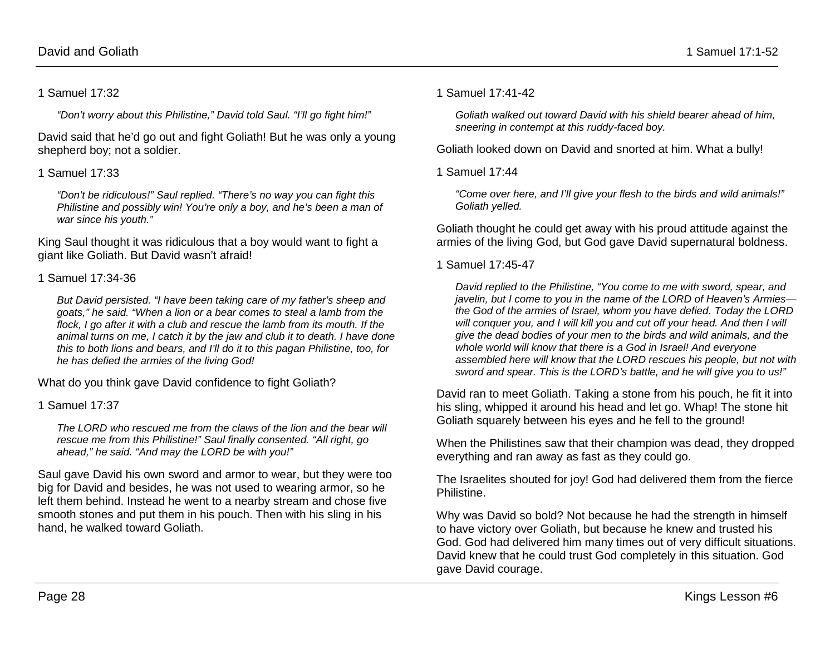#### 1 Samuel 17:32

*"Don't worry about this Philistine," David told Saul. "I'll go fight him!"* 

David said that he'd go out and fight Goliath! But he was only a young shepherd boy; not a soldier.

#### 1 Samuel 17:33

*"Don't be ridiculous!" Saul replied. "There's no way you can fight this Philistine and possibly win! You're only a boy, and he's been a man of war since his youth."*

King Saul thought it was ridiculous that a boy would want to fight a giant like Goliath. But David wasn't afraid!

#### 1 Samuel 17:34-36

*But David persisted. "I have been taking care of my father's sheep and goats," he said. "When a lion or a bear comes to steal a lamb from the flock, I go after it with a club and rescue the lamb from its mouth. If the animal turns on me, I catch it by the jaw and club it to death. I have done this to both lions and bears, and I'll do it to this pagan Philistine, too, for he has defied the armies of the living God!* 

What do you think gave David confidence to fight Goliath?

1 Samuel 17:37

*The LORD who rescued me from the claws of the lion and the bear will rescue me from this Philistine!" Saul finally consented. "All right, go ahead," he said. "And may the LORD be with you!"*

Saul gave David his own sword and armor to wear, but they were too big for David and besides, he was not used to wearing armor, so he left them behind. Instead he went to a nearby stream and chose five smooth stones and put them in his pouch. Then with his sling in his hand, he walked toward Goliath.

#### 1 Samuel 17:41-42

*Goliath walked out toward David with his shield bearer ahead of him, sneering in contempt at this ruddy-faced boy.* 

Goliath looked down on David and snorted at him. What a bully!

1 Samuel 17:44

*"Come over here, and I'll give your flesh to the birds and wild animals!" Goliath yelled.*

Goliath thought he could get away with his proud attitude against the armies of the living God, but God gave David supernatural boldness.

#### 1 Samuel 17:45-47

*David replied to the Philistine, "You come to me with sword, spear, and javelin, but I come to you in the name of the LORD of Heaven's Armies the God of the armies of Israel, whom you have defied. Today the LORD will conquer you, and I will kill you and cut off your head. And then I will give the dead bodies of your men to the birds and wild animals, and the whole world will know that there is a God in Israel! And everyone assembled here will know that the LORD rescues his people, but not with sword and spear. This is the LORD's battle, and he will give you to us!"* 

David ran to meet Goliath. Taking a stone from his pouch, he fit it into his sling, whipped it around his head and let go. Whap! The stone hit Goliath squarely between his eyes and he fell to the ground!

When the Philistines saw that their champion was dead, they dropped everything and ran away as fast as they could go.

The Israelites shouted for joy! God had delivered them from the fierce Philistine.

Why was David so bold? Not because he had the strength in himself to have victory over Goliath, but because he knew and trusted his God. God had delivered him many times out of very difficult situations. David knew that he could trust God completely in this situation. God gave David courage.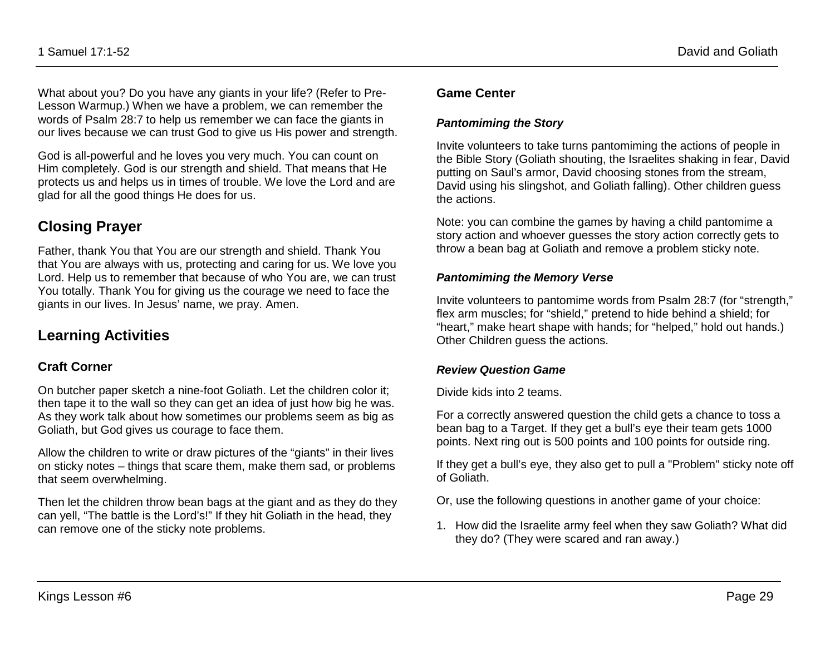What about you? Do you have any giants in your life? (Refer to Pre-Lesson Warmup.) When we have a problem, we can remember the words of Psalm 28:7 to help us remember we can face the giants in our lives because we can trust God to give us His power and strength.

God is all-powerful and he loves you very much. You can count on Him completely. God is our strength and shield. That means that He protects us and helps us in times of trouble. We love the Lord and are glad for all the good things He does for us.

## **Closing Prayer**

Father, thank You that You are our strength and shield. Thank You that You are always with us, protecting and caring for us. We love you Lord. Help us to remember that because of who You are, we can trust You totally. Thank You for giving us the courage we need to face the giants in our lives. In Jesus' name, we pray. Amen.

## **Learning Activities**

#### **Craft Corner**

On butcher paper sketch a nine-foot Goliath. Let the children color it; then tape it to the wall so they can get an idea of just how big he was. As they work talk about how sometimes our problems seem as big as Goliath, but God gives us courage to face them.

Allow the children to write or draw pictures of the "giants" in their lives on sticky notes – things that scare them, make them sad, or problems that seem overwhelming.

Then let the children throw bean bags at the giant and as they do they can yell, "The battle is the Lord's!" If they hit Goliath in the head, they can remove one of the sticky note problems.

#### **Game Center**

#### *Pantomiming the Story*

Invite volunteers to take turns pantomiming the actions of people in the Bible Story (Goliath shouting, the Israelites shaking in fear, David putting on Saul's armor, David choosing stones from the stream, David using his slingshot, and Goliath falling). Other children guess the actions.

Note: you can combine the games by having a child pantomime a story action and whoever guesses the story action correctly gets to throw a bean bag at Goliath and remove a problem sticky note.

#### *Pantomiming the Memory Verse*

Invite volunteers to pantomime words from Psalm 28:7 (for "strength," flex arm muscles; for "shield," pretend to hide behind a shield; for "heart," make heart shape with hands; for "helped," hold out hands.) Other Children guess the actions.

#### *Review Question Game*

Divide kids into 2 teams.

For a correctly answered question the child gets a chance to toss a bean bag to a Target. If they get a bull's eye their team gets 1000 points. Next ring out is 500 points and 100 points for outside ring.

If they get a bull's eye, they also get to pull a "Problem" sticky note off of Goliath.

Or, use the following questions in another game of your choice:

1. How did the Israelite army feel when they saw Goliath? What did they do? (They were scared and ran away.)